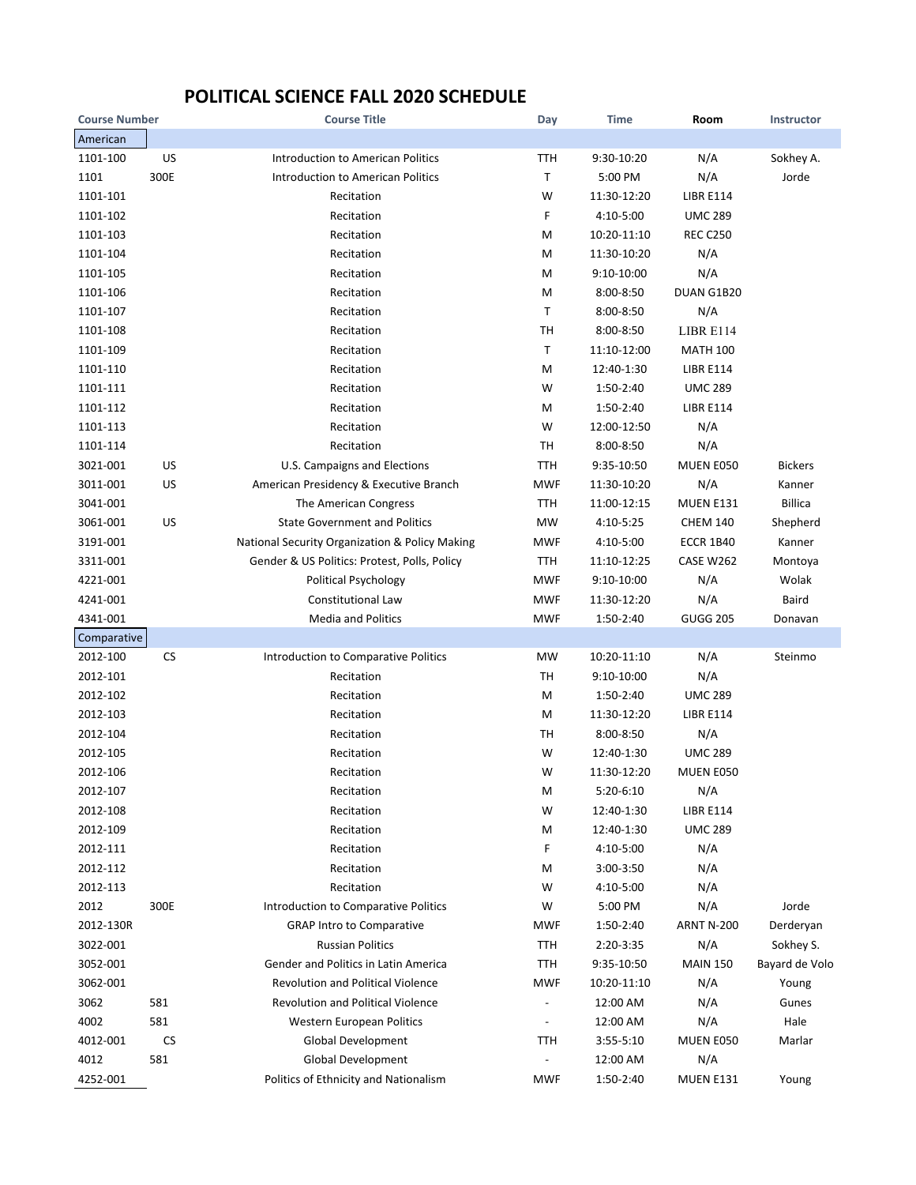## **POLITICAL SCIENCE FALL 2020 SCHEDULE**

| <b>Course Number</b> |           | <b>Course Title</b>                            | Day         | <b>Time</b>   | Room              | Instructor     |
|----------------------|-----------|------------------------------------------------|-------------|---------------|-------------------|----------------|
| American             |           |                                                |             |               |                   |                |
| 1101-100             | US        | Introduction to American Politics              | <b>TTH</b>  | 9:30-10:20    | N/A               | Sokhey A.      |
| 1101                 | 300E      | <b>Introduction to American Politics</b>       | $\mathsf T$ | 5:00 PM       | N/A               | Jorde          |
| 1101-101             |           | Recitation                                     | W           | 11:30-12:20   | <b>LIBR E114</b>  |                |
| 1101-102             |           | Recitation                                     | F           | 4:10-5:00     | <b>UMC 289</b>    |                |
| 1101-103             |           | Recitation                                     | M           | 10:20-11:10   | <b>REC C250</b>   |                |
| 1101-104             |           | Recitation                                     | M           | 11:30-10:20   | N/A               |                |
| 1101-105             |           | Recitation                                     | M           | 9:10-10:00    | N/A               |                |
| 1101-106             |           | Recitation                                     | M           | $8:00 - 8:50$ | DUAN G1B20        |                |
| 1101-107             |           | Recitation                                     | Τ           | 8:00-8:50     | N/A               |                |
| 1101-108             |           | Recitation                                     | тн          | 8:00-8:50     | LIBR E114         |                |
| 1101-109             |           | Recitation                                     | $\mathsf T$ | 11:10-12:00   | <b>MATH 100</b>   |                |
| 1101-110             |           | Recitation                                     | M           | 12:40-1:30    | <b>LIBR E114</b>  |                |
| 1101-111             |           | Recitation                                     | W           | 1:50-2:40     | <b>UMC 289</b>    |                |
| 1101-112             |           | Recitation                                     | Μ           | 1:50-2:40     | <b>LIBR E114</b>  |                |
| 1101-113             |           | Recitation                                     | W           | 12:00-12:50   | N/A               |                |
| 1101-114             |           | Recitation                                     | <b>TH</b>   | 8:00-8:50     | N/A               |                |
| 3021-001             | US        | U.S. Campaigns and Elections                   | TTH         | 9:35-10:50    | MUEN E050         | <b>Bickers</b> |
| 3011-001             | US        | American Presidency & Executive Branch         | <b>MWF</b>  | 11:30-10:20   | N/A               | Kanner         |
| 3041-001             |           | The American Congress                          | <b>TTH</b>  | 11:00-12:15   | <b>MUEN E131</b>  | <b>Billica</b> |
| 3061-001             | US        | <b>State Government and Politics</b>           | <b>MW</b>   | 4:10-5:25     | <b>CHEM 140</b>   | Shepherd       |
| 3191-001             |           | National Security Organization & Policy Making | <b>MWF</b>  | 4:10-5:00     | <b>ECCR 1B40</b>  | Kanner         |
| 3311-001             |           | Gender & US Politics: Protest, Polls, Policy   | <b>TTH</b>  | 11:10-12:25   | CASE W262         | Montoya        |
| 4221-001             |           | <b>Political Psychology</b>                    | <b>MWF</b>  | 9:10-10:00    | N/A               | Wolak          |
| 4241-001             |           | <b>Constitutional Law</b>                      | <b>MWF</b>  | 11:30-12:20   | N/A               | Baird          |
| 4341-001             |           | <b>Media and Politics</b>                      | <b>MWF</b>  | 1:50-2:40     | <b>GUGG 205</b>   | Donavan        |
| Comparative          |           |                                                |             |               |                   |                |
| 2012-100             | <b>CS</b> | Introduction to Comparative Politics           | <b>MW</b>   | 10:20-11:10   | N/A               | Steinmo        |
| 2012-101             |           | Recitation                                     | TН          | 9:10-10:00    | N/A               |                |
| 2012-102             |           | Recitation                                     | M           | 1:50-2:40     | <b>UMC 289</b>    |                |
| 2012-103             |           | Recitation                                     | M           | 11:30-12:20   | <b>LIBR E114</b>  |                |
| 2012-104             |           | Recitation                                     | TН          | 8:00-8:50     | N/A               |                |
| 2012-105             |           | Recitation                                     | W           | 12:40-1:30    | <b>UMC 289</b>    |                |
| 2012-106             |           | Recitation                                     | W           | 11:30-12:20   | <b>MUEN E050</b>  |                |
| 2012-107             |           | Recitation                                     | M           | 5:20-6:10     | N/A               |                |
| 2012-108             |           | Recitation                                     | W           | 12:40-1:30    | <b>LIBR E114</b>  |                |
| 2012-109             |           | Recitation                                     | Μ           | 12:40-1:30    | <b>UMC 289</b>    |                |
| 2012-111             |           | Recitation                                     | F           | 4:10-5:00     | N/A               |                |
| 2012-112             |           | Recitation                                     | M           | 3:00-3:50     | N/A               |                |
| 2012-113             |           | Recitation                                     | W           | 4:10-5:00     | N/A               |                |
| 2012                 | 300E      | Introduction to Comparative Politics           | W           | 5:00 PM       | N/A               | Jorde          |
| 2012-130R            |           | <b>GRAP Intro to Comparative</b>               | <b>MWF</b>  | 1:50-2:40     | <b>ARNT N-200</b> | Derderyan      |
| 3022-001             |           | <b>Russian Politics</b>                        | TTH         | 2:20-3:35     | N/A               | Sokhey S.      |
| 3052-001             |           | Gender and Politics in Latin America           | TTH         | 9:35-10:50    | <b>MAIN 150</b>   | Bayard de Volo |
| 3062-001             |           | <b>Revolution and Political Violence</b>       | <b>MWF</b>  | 10:20-11:10   | N/A               | Young          |
| 3062                 | 581       | <b>Revolution and Political Violence</b>       |             | 12:00 AM      | N/A               | Gunes          |
| 4002                 | 581       | Western European Politics                      |             | 12:00 AM      | N/A               | Hale           |
| 4012-001             | CS        | <b>Global Development</b>                      | TTH         | 3:55-5:10     | MUEN E050         | Marlar         |
| 4012                 | 581       | <b>Global Development</b>                      |             | 12:00 AM      | N/A               |                |
| 4252-001             |           | Politics of Ethnicity and Nationalism          | <b>MWF</b>  | 1:50-2:40     | MUEN E131         | Young          |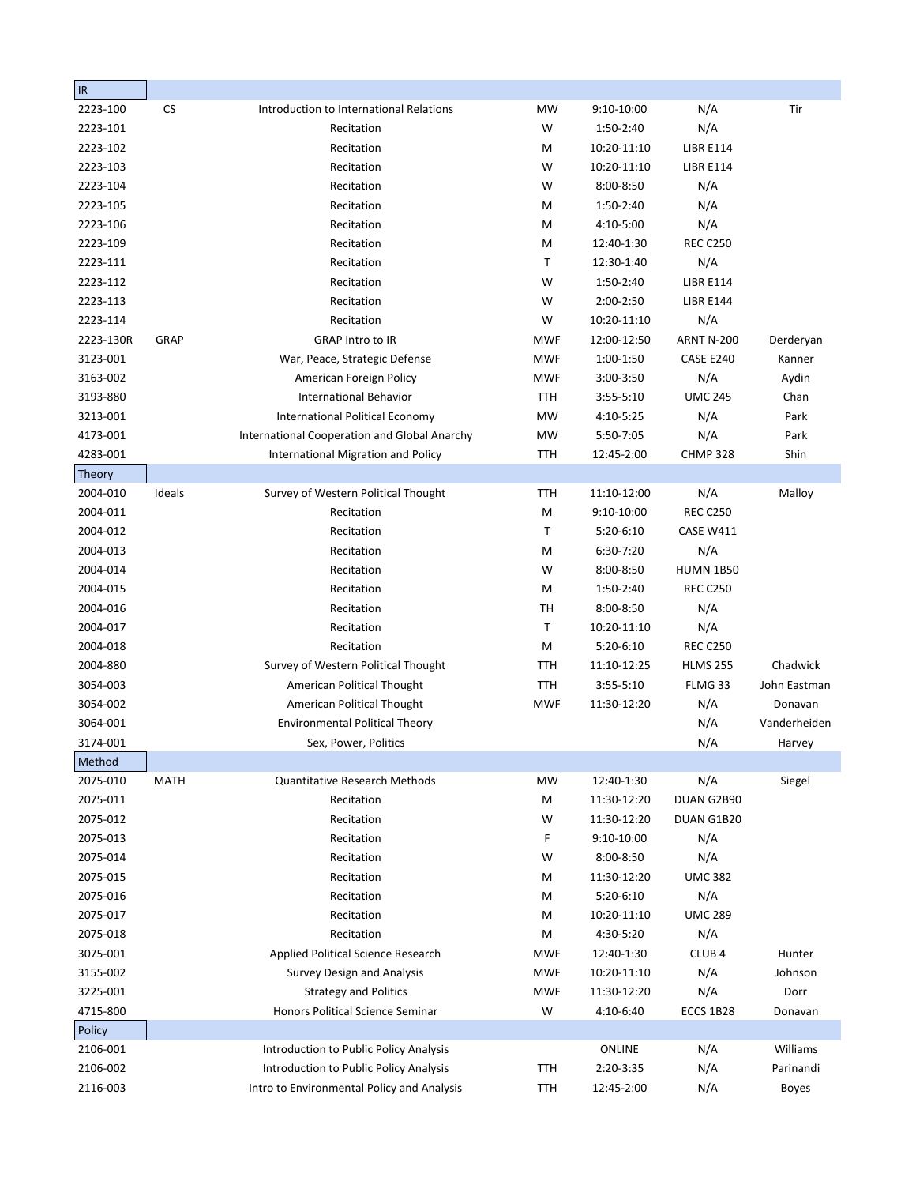| $ $ IR    |             |                                              |            |              |                   |              |
|-----------|-------------|----------------------------------------------|------------|--------------|-------------------|--------------|
| 2223-100  | <b>CS</b>   | Introduction to International Relations      | <b>MW</b>  | 9:10-10:00   | N/A               | Tir          |
| 2223-101  |             | Recitation                                   | W          | 1:50-2:40    | N/A               |              |
| 2223-102  |             | Recitation                                   | M          | 10:20-11:10  | <b>LIBR E114</b>  |              |
| 2223-103  |             | Recitation                                   | W          | 10:20-11:10  | <b>LIBR E114</b>  |              |
| 2223-104  |             | Recitation                                   | W          | 8:00-8:50    | N/A               |              |
| 2223-105  |             | Recitation                                   | M          | 1:50-2:40    | N/A               |              |
| 2223-106  |             | Recitation                                   | M          | 4:10-5:00    | N/A               |              |
| 2223-109  |             | Recitation                                   | M          | 12:40-1:30   | <b>REC C250</b>   |              |
| 2223-111  |             | Recitation                                   | T          | 12:30-1:40   | N/A               |              |
| 2223-112  |             | Recitation                                   | W          | 1:50-2:40    | <b>LIBR E114</b>  |              |
| 2223-113  |             | Recitation                                   | W          | 2:00-2:50    | <b>LIBR E144</b>  |              |
| 2223-114  |             | Recitation                                   | W          | 10:20-11:10  | N/A               |              |
| 2223-130R | GRAP        | <b>GRAP Intro to IR</b>                      | <b>MWF</b> | 12:00-12:50  | <b>ARNT N-200</b> | Derderyan    |
| 3123-001  |             | War, Peace, Strategic Defense                | <b>MWF</b> | 1:00-1:50    | CASE E240         | Kanner       |
| 3163-002  |             | American Foreign Policy                      | <b>MWF</b> | 3:00-3:50    | N/A               | Aydin        |
| 3193-880  |             | <b>International Behavior</b>                | <b>TTH</b> | $3:55-5:10$  | <b>UMC 245</b>    | Chan         |
| 3213-001  |             | <b>International Political Economy</b>       | <b>MW</b>  | 4:10-5:25    | N/A               | Park         |
| 4173-001  |             | International Cooperation and Global Anarchy | <b>MW</b>  | 5:50-7:05    | N/A               | Park         |
| 4283-001  |             | International Migration and Policy           | <b>TTH</b> | 12:45-2:00   | <b>CHMP 328</b>   | Shin         |
| Theory    |             |                                              |            |              |                   |              |
| 2004-010  | Ideals      | Survey of Western Political Thought          | TTH        | 11:10-12:00  | N/A               | Malloy       |
| 2004-011  |             | Recitation                                   | M          | 9:10-10:00   | <b>REC C250</b>   |              |
| 2004-012  |             | Recitation                                   | T          | 5:20-6:10    | CASE W411         |              |
| 2004-013  |             | Recitation                                   | M          | 6:30-7:20    | N/A               |              |
| 2004-014  |             | Recitation                                   | W          | 8:00-8:50    | <b>HUMN 1B50</b>  |              |
| 2004-015  |             | Recitation                                   | M          | 1:50-2:40    | <b>REC C250</b>   |              |
| 2004-016  |             | Recitation                                   | тн         | 8:00-8:50    | N/A               |              |
| 2004-017  |             | Recitation                                   | T          | 10:20-11:10  | N/A               |              |
| 2004-018  |             | Recitation                                   | M          | $5:20-6:10$  | <b>REC C250</b>   |              |
| 2004-880  |             | Survey of Western Political Thought          | TTH        | 11:10-12:25  | <b>HLMS 255</b>   | Chadwick     |
| 3054-003  |             | American Political Thought                   | <b>TTH</b> | 3:55-5:10    | FLMG 33           | John Eastman |
| 3054-002  |             | American Political Thought                   | <b>MWF</b> | 11:30-12:20  | N/A               | Donavan      |
| 3064-001  |             | <b>Environmental Political Theory</b>        |            |              | N/A               | Vanderheiden |
| 3174-001  |             | Sex, Power, Politics                         |            |              | N/A               | Harvey       |
| Method    |             |                                              |            |              |                   |              |
| 2075-010  | <b>MATH</b> | <b>Quantitative Research Methods</b>         | <b>MW</b>  | 12:40-1:30   | N/A               | Siegel       |
| 2075-011  |             | Recitation                                   | M          | 11:30-12:20  | DUAN G2B90        |              |
| 2075-012  |             | Recitation                                   | W          | 11:30-12:20  | DUAN G1B20        |              |
| 2075-013  |             | Recitation                                   | F          | $9:10-10:00$ | N/A               |              |
| 2075-014  |             | Recitation                                   | W          | 8:00-8:50    | N/A               |              |
| 2075-015  |             | Recitation                                   | M          | 11:30-12:20  | <b>UMC 382</b>    |              |
| 2075-016  |             | Recitation                                   | M          | $5:20-6:10$  | N/A               |              |
| 2075-017  |             | Recitation                                   | M          | 10:20-11:10  | <b>UMC 289</b>    |              |
| 2075-018  |             | Recitation                                   | M          | 4:30-5:20    | N/A               |              |
| 3075-001  |             | Applied Political Science Research           | <b>MWF</b> | 12:40-1:30   | CLUB <sub>4</sub> | Hunter       |
| 3155-002  |             | <b>Survey Design and Analysis</b>            | <b>MWF</b> | 10:20-11:10  | N/A               | Johnson      |
| 3225-001  |             | <b>Strategy and Politics</b>                 | <b>MWF</b> | 11:30-12:20  | N/A               | Dorr         |
| 4715-800  |             | Honors Political Science Seminar             | W          | 4:10-6:40    | ECCS 1B28         | Donavan      |
| Policy    |             |                                              |            |              |                   |              |
| 2106-001  |             | Introduction to Public Policy Analysis       |            | ONLINE       | N/A               | Williams     |
| 2106-002  |             | Introduction to Public Policy Analysis       | TTH        | 2:20-3:35    | N/A               | Parinandi    |
| 2116-003  |             | Intro to Environmental Policy and Analysis   | TTH        | 12:45-2:00   | N/A               | <b>Boyes</b> |
|           |             |                                              |            |              |                   |              |